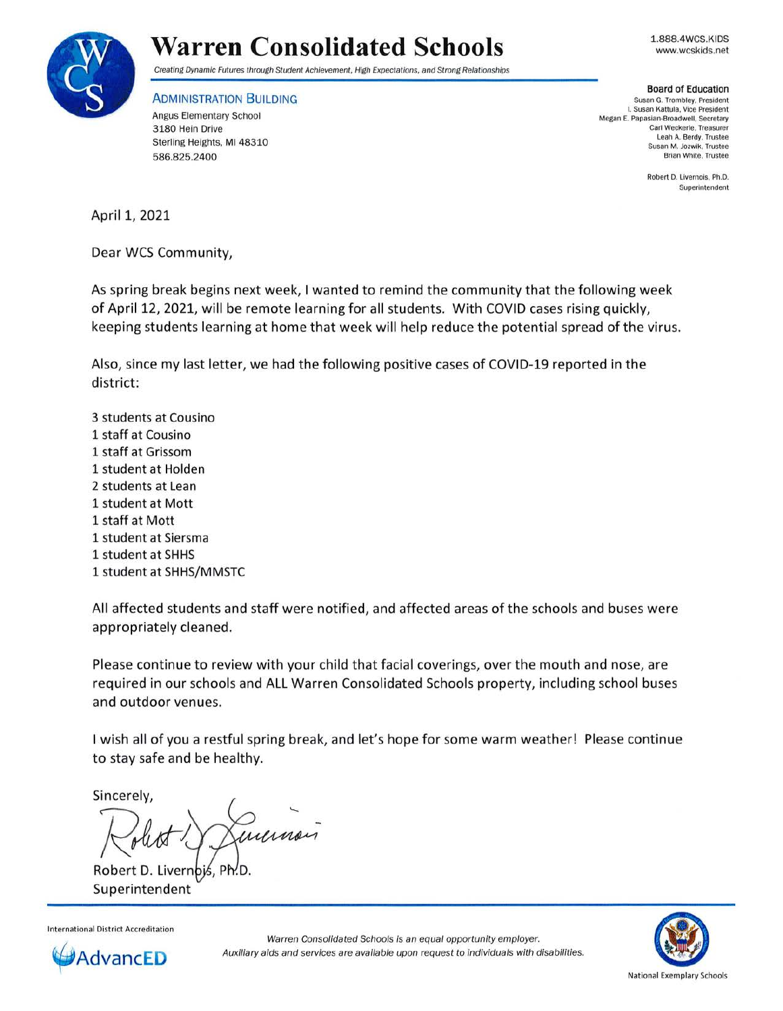

## **Warren Consolidated Schools**

1.888.4WCS.KIDS www.wcskids.net

Creating Dynamic Futures through Student Achievement, High Expectations, and Strong Relationships

**ADMINISTRATION BUILDING** Angus Elementary School 3 180 Hein Drive Sterling Heights, MI 48310 586.825.2400

**Board of Education** 

Susan G. Trombley. President L Susan Kattula, Vice President Megan E. Papasian-Broadwell, Secretary Carl Weckerle, Treasurer Leah A. Berdy, Trustee Susan M. Jozwik, Trustee Brian White, Trustee

> Robert D. Livernois, Ph.D. Superintendent

April 1, 2021

Dear WCS Community,

As spring break begins next week, I wanted to remind the community that the following week of April 12, 2021, will be remote learning for all students. With COVID cases rising quickly, keeping students learning at home that week will help reduce the potential spread of the virus.

Also, since my last letter, we had the following positive cases of COVID-19 reported in the district:

3 students at Cousino 1 staff at Cousino 1 staff at Grissom 1 student at Holden 2 students at Lean 1 student at Mott 1 staff at Mott 1 student at Siersma 1 student at SHHS 1 student at SHHS/MMSTC

All affected students and staff were notified, and affected areas of the schools and buses were appropriately cleaned.

Please continue to review with your child that facial coverings, over the mouth and nose, are required in our schools and ALL Warren Consolidated Schools property, including school buses and outdoor venues.

I wish all of you a restful spring break, and let's hope for some warm weather! Please continue to stay safe and be healthy.

Sincerely,

*f!~ J*  incrinon

Robert D. Livern Superintendent

International District Accreditation



Warren Consolidated Schools is an equal opportunity employer. Auxiliary aids and services are available upon request to individuals with disabilities.